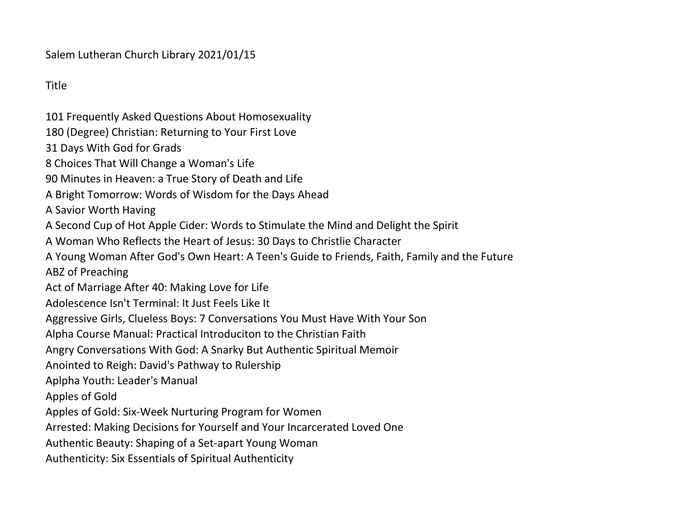Salem Lutheran Church Library 2021/01/15

Title

101 Frequently Asked Questions About Homosexuality 180 (Degree) Christian: Returning to Your First Love 31 Days With God for Grads 8 Choices That Will Change a Woman's Life 90 Minutes in Heaven: a True Story of Death and Life A Bright Tomorrow: Words of Wisdom for the Days Ahead A Savior Worth Having A Second Cup of Hot Apple Cider: Words to Stimulate the Mind and Delight the Spirit A Woman Who Reflects the Heart of Jesus: 30 Days to Christlie Character A Young Woman After God's Own Heart: A Teen's Guide to Friends, Faith, Family and the Future ABZ of Preaching Act of Marriage After 40: Making Love for Life Adolescence Isn't Terminal: It Just Feels Like It Aggressive Girls, Clueless Boys: 7 Conversations You Must Have With Your Son Alpha Course Manual: Practical Introduciton to the Christian Faith Angry Conversations With God: A Snarky But Authentic Spiritual Memoir Anointed to Reigh: David's Pathway to Rulership Aplpha Youth: Leader's Manual Apples of Gold Apples of Gold: Six-Week Nurturing Program for Women Arrested: Making Decisions for Yourself and Your Incarcerated Loved One Authentic Beauty: Shaping of a Set-apart Young Woman Authenticity: Six Essentials of Spiritual Authenticity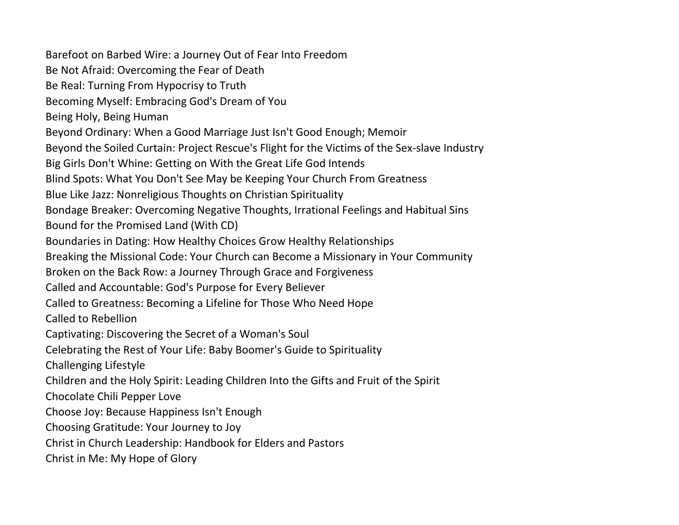Barefoot on Barbed Wire: a Journey Out of Fear Into Freedom Be Not Afraid: Overcoming the Fear of Death Be Real: Turning From Hypocrisy to Truth Becoming Myself: Embracing God's Dream of You Being Holy, Being Human Beyond Ordinary: When a Good Marriage Just Isn't Good Enough; Memoir Beyond the Soiled Curtain: Project Rescue's Flight for the Victims of the Sex-slave Industry Big Girls Don't Whine: Getting on With the Great Life God Intends Blind Spots: What You Don't See May be Keeping Your Church From Greatness Blue Like Jazz: Nonreligious Thoughts on Christian Spirituality Bondage Breaker: Overcoming Negative Thoughts, Irrational Feelings and Habitual Sins Bound for the Promised Land (With CD) Boundaries in Dating: How Healthy Choices Grow Healthy Relationships Breaking the Missional Code: Your Church can Become a Missionary in Your Community Broken on the Back Row: a Journey Through Grace and Forgiveness Called and Accountable: God's Purpose for Every Believer Called to Greatness: Becoming a Lifeline for Those Who Need Hope Called to Rebellion Captivating: Discovering the Secret of a Woman's Soul Celebrating the Rest of Your Life: Baby Boomer's Guide to Spirituality Challenging Lifestyle Children and the Holy Spirit: Leading Children Into the Gifts and Fruit of the Spirit Chocolate Chili Pepper Love Choose Joy: Because Happiness Isn't Enough Choosing Gratitude: Your Journey to Joy Christ in Church Leadership: Handbook for Elders and Pastors Christ in Me: My Hope of Glory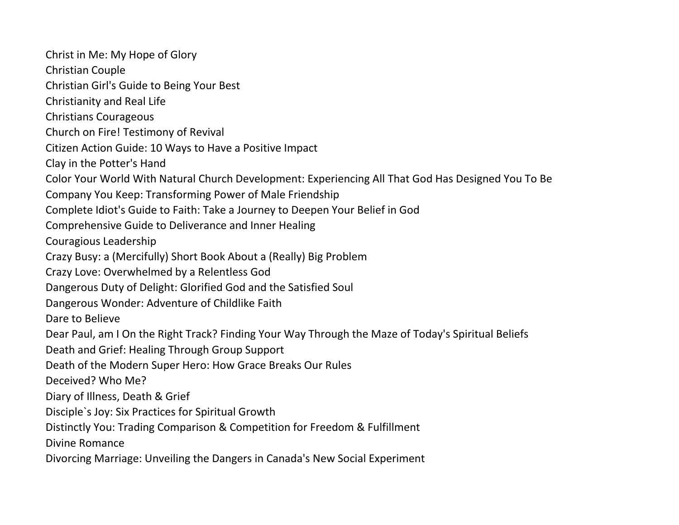Christ in Me: My Hope of Glory Christian Couple Christian Girl's Guide to Being Your Best Christianity and Real Life Christians Courageous Church on Fire! Testimony of Revival Citizen Action Guide: 10 Ways to Have a Positive Impact Clay in the Potter's Hand Color Your World With Natural Church Development: Experiencing All That God Has Designed You To Be Company You Keep: Transforming Power of Male Friendship Complete Idiot's Guide to Faith: Take a Journey to Deepen Your Belief in God Comprehensive Guide to Deliverance and Inner Healing Couragious Leadership Crazy Busy: a (Mercifully) Short Book About a (Really) Big Problem Crazy Love: Overwhelmed by a Relentless God Dangerous Duty of Delight: Glorified God and the Satisfied Soul Dangerous Wonder: Adventure of Childlike Faith Dare to Believe Dear Paul, am I On the Right Track? Finding Your Way Through the Maze of Today's Spiritual Beliefs Death and Grief: Healing Through Group Support Death of the Modern Super Hero: How Grace Breaks Our Rules Deceived? Who Me? Diary of Illness, Death & Grief Disciple`s Joy: Six Practices for Spiritual Growth Distinctly You: Trading Comparison & Competition for Freedom & Fulfillment Divine Romance Divorcing Marriage: Unveiling the Dangers in Canada's New Social Experiment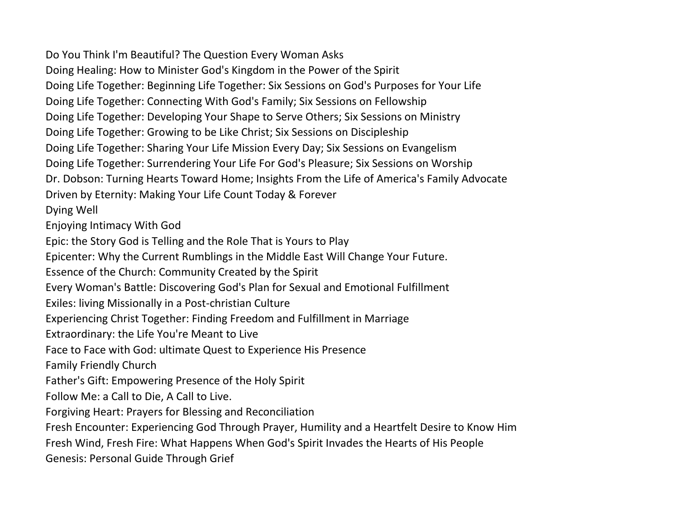Do You Think I'm Beautiful? The Question Every Woman Asks Doing Healing: How to Minister God's Kingdom in the Power of the Spirit Doing Life Together: Beginning Life Together: Six Sessions on God's Purposes for Your Life Doing Life Together: Connecting With God's Family; Six Sessions on Fellowship Doing Life Together: Developing Your Shape to Serve Others; Six Sessions on Ministry Doing Life Together: Growing to be Like Christ; Six Sessions on Discipleship Doing Life Together: Sharing Your Life Mission Every Day; Six Sessions on Evangelism Doing Life Together: Surrendering Your Life For God's Pleasure; Six Sessions on Worship Dr. Dobson: Turning Hearts Toward Home; Insights From the Life of America's Family Advocate Driven by Eternity: Making Your Life Count Today & Forever Dying Well Enjoying Intimacy With God Epic: the Story God is Telling and the Role That is Yours to Play Epicenter: Why the Current Rumblings in the Middle East Will Change Your Future. Essence of the Church: Community Created by the Spirit Every Woman's Battle: Discovering God's Plan for Sexual and Emotional Fulfillment Exiles: living Missionally in a Post-christian Culture Experiencing Christ Together: Finding Freedom and Fulfillment in Marriage Extraordinary: the Life You're Meant to Live Face to Face with God: ultimate Quest to Experience His Presence Family Friendly Church Father's Gift: Empowering Presence of the Holy Spirit Follow Me: a Call to Die, A Call to Live. Forgiving Heart: Prayers for Blessing and Reconciliation Fresh Encounter: Experiencing God Through Prayer, Humility and a Heartfelt Desire to Know Him Fresh Wind, Fresh Fire: What Happens When God's Spirit Invades the Hearts of His People Genesis: Personal Guide Through Grief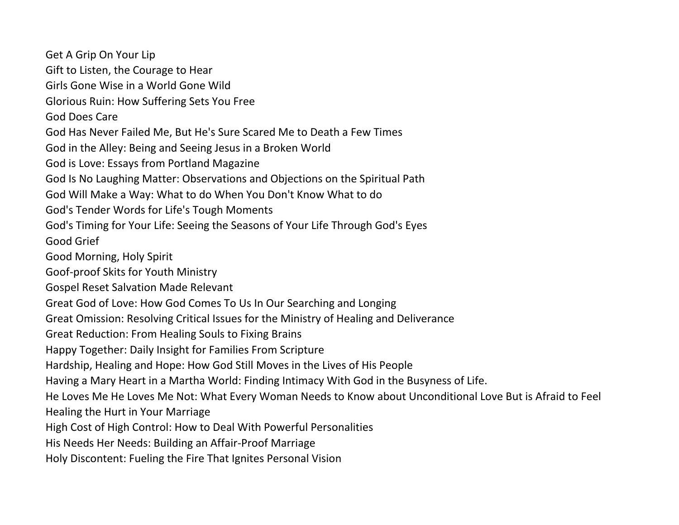Get A Grip On Your Lip Gift to Listen, the Courage to Hear Girls Gone Wise in a World Gone Wild Glorious Ruin: How Suffering Sets You Free God Does Care God Has Never Failed Me, But He's Sure Scared Me to Death a Few Times God in the Alley: Being and Seeing Jesus in a Broken World God is Love: Essays from Portland Magazine God Is No Laughing Matter: Observations and Objections on the Spiritual Path God Will Make a Way: What to do When You Don't Know What to do God's Tender Words for Life's Tough Moments God's Timing for Your Life: Seeing the Seasons of Your Life Through God's Eyes Good Grief Good Morning, Holy Spirit Goof-proof Skits for Youth Ministry Gospel Reset Salvation Made Relevant Great God of Love: How God Comes To Us In Our Searching and Longing Great Omission: Resolving Critical Issues for the Ministry of Healing and Deliverance Great Reduction: From Healing Souls to Fixing Brains Happy Together: Daily Insight for Families From Scripture Hardship, Healing and Hope: How God Still Moves in the Lives of His People Having a Mary Heart in a Martha World: Finding Intimacy With God in the Busyness of Life. He Loves Me He Loves Me Not: What Every Woman Needs to Know about Unconditional Love But is Afraid to Feel Healing the Hurt in Your Marriage High Cost of High Control: How to Deal With Powerful Personalities His Needs Her Needs: Building an Affair-Proof Marriage Holy Discontent: Fueling the Fire That Ignites Personal Vision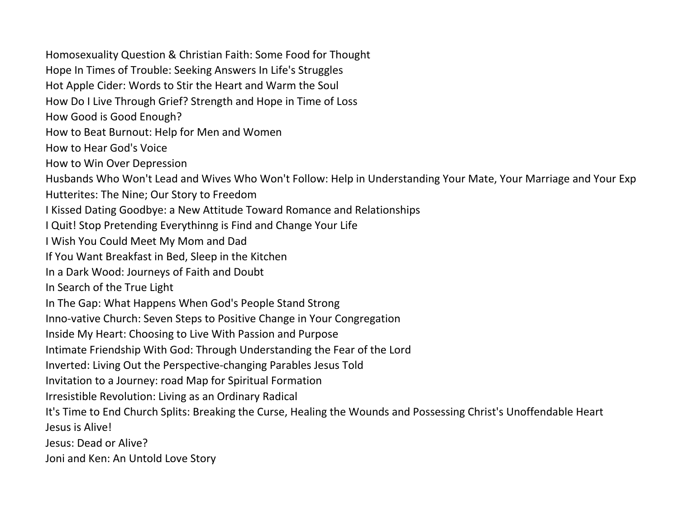Homosexuality Question & Christian Faith: Some Food for Thought Hope In Times of Trouble: Seeking Answers In Life's Struggles Hot Apple Cider: Words to Stir the Heart and Warm the Soul How Do I Live Through Grief? Strength and Hope in Time of Loss How Good is Good Enough? How to Beat Burnout: Help for Men and Women How to Hear God's Voice How to Win Over Depression Husbands Who Won't Lead and Wives Who Won't Follow: Help in Understanding Your Mate, Your Marriage and Your Exp Hutterites: The Nine; Our Story to Freedom I Kissed Dating Goodbye: a New Attitude Toward Romance and Relationships I Quit! Stop Pretending Everythinng is Find and Change Your Life I Wish You Could Meet My Mom and Dad If You Want Breakfast in Bed, Sleep in the Kitchen In a Dark Wood: Journeys of Faith and Doubt In Search of the True Light In The Gap: What Happens When God's People Stand Strong Inno-vative Church: Seven Steps to Positive Change in Your Congregation Inside My Heart: Choosing to Live With Passion and Purpose Intimate Friendship With God: Through Understanding the Fear of the Lord Inverted: Living Out the Perspective-changing Parables Jesus Told Invitation to a Journey: road Map for Spiritual Formation Irresistible Revolution: Living as an Ordinary Radical It's Time to End Church Splits: Breaking the Curse, Healing the Wounds and Possessing Christ's Unoffendable Heart Jesus is Alive! Jesus: Dead or Alive? Joni and Ken: An Untold Love Story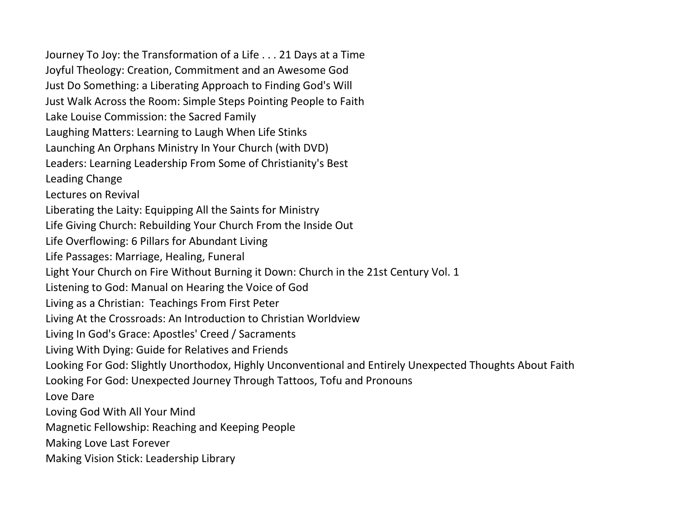Journey To Joy: the Transformation of a Life . . . 21 Days at a Time Joyful Theology: Creation, Commitment and an Awesome God Just Do Something: a Liberating Approach to Finding God's Will Just Walk Across the Room: Simple Steps Pointing People to Faith Lake Louise Commission: the Sacred Family Laughing Matters: Learning to Laugh When Life Stinks Launching An Orphans Ministry In Your Church (with DVD) Leaders: Learning Leadership From Some of Christianity's Best Leading Change Lectures on Revival Liberating the Laity: Equipping All the Saints for Ministry Life Giving Church: Rebuilding Your Church From the Inside Out Life Overflowing: 6 Pillars for Abundant Living Life Passages: Marriage, Healing, Funeral Light Your Church on Fire Without Burning it Down: Church in the 21st Century Vol. 1 Listening to God: Manual on Hearing the Voice of God Living as a Christian: Teachings From First Peter Living At the Crossroads: An Introduction to Christian Worldview Living In God's Grace: Apostles' Creed / Sacraments Living With Dying: Guide for Relatives and Friends Looking For God: Slightly Unorthodox, Highly Unconventional and Entirely Unexpected Thoughts About Faith Looking For God: Unexpected Journey Through Tattoos, Tofu and Pronouns Love Dare Loving God With All Your Mind Magnetic Fellowship: Reaching and Keeping People Making Love Last Forever Making Vision Stick: Leadership Library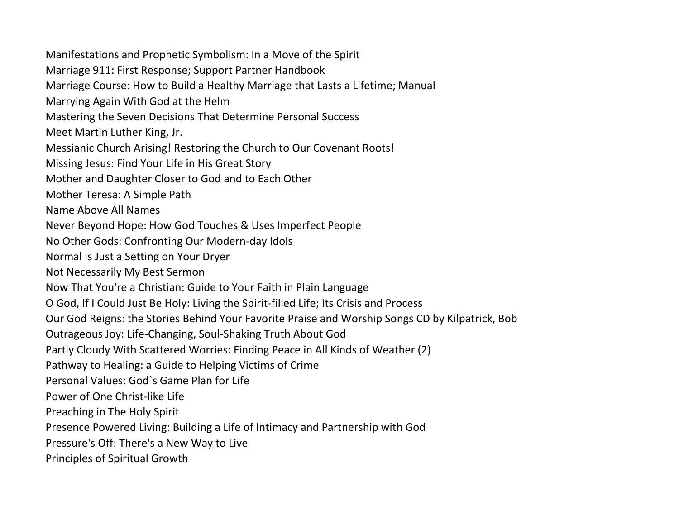Manifestations and Prophetic Symbolism: In a Move of the Spirit Marriage 911: First Response; Support Partner Handbook Marriage Course: How to Build a Healthy Marriage that Lasts a Lifetime; Manual Marrying Again With God at the Helm Mastering the Seven Decisions That Determine Personal Success Meet Martin Luther King, Jr. Messianic Church Arising! Restoring the Church to Our Covenant Roots! Missing Jesus: Find Your Life in His Great Story Mother and Daughter Closer to God and to Each Other Mother Teresa: A Simple Path Name Above All Names Never Beyond Hope: How God Touches & Uses Imperfect People No Other Gods: Confronting Our Modern-day Idols Normal is Just a Setting on Your Dryer Not Necessarily My Best Sermon Now That You're a Christian: Guide to Your Faith in Plain Language O God, If I Could Just Be Holy: Living the Spirit-filled Life; Its Crisis and Process Our God Reigns: the Stories Behind Your Favorite Praise and Worship Songs CD by Kilpatrick, Bob Outrageous Joy: Life-Changing, Soul-Shaking Truth About God Partly Cloudy With Scattered Worries: Finding Peace in All Kinds of Weather (2) Pathway to Healing: a Guide to Helping Victims of Crime Personal Values: God`s Game Plan for Life Power of One Christ-like Life Preaching in The Holy Spirit Presence Powered Living: Building a Life of Intimacy and Partnership with God Pressure's Off: There's a New Way to Live Principles of Spiritual Growth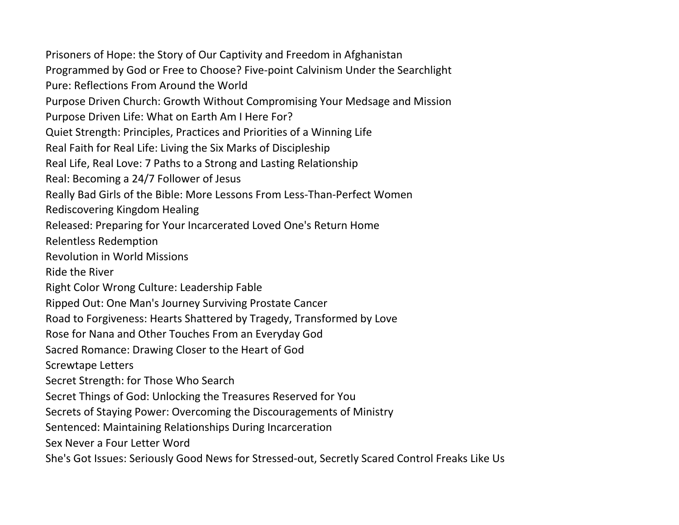Prisoners of Hope: the Story of Our Captivity and Freedom in Afghanistan Programmed by God or Free to Choose? Five-point Calvinism Under the Searchlight Pure: Reflections From Around the World Purpose Driven Church: Growth Without Compromising Your Medsage and Mission Purpose Driven Life: What on Earth Am I Here For? Quiet Strength: Principles, Practices and Priorities of a Winning Life Real Faith for Real Life: Living the Six Marks of Discipleship Real Life, Real Love: 7 Paths to a Strong and Lasting Relationship Real: Becoming a 24/7 Follower of Jesus Really Bad Girls of the Bible: More Lessons From Less-Than-Perfect Women Rediscovering Kingdom Healing Released: Preparing for Your Incarcerated Loved One's Return Home Relentless Redemption Revolution in World Missions Ride the River Right Color Wrong Culture: Leadership Fable Ripped Out: One Man's Journey Surviving Prostate Cancer Road to Forgiveness: Hearts Shattered by Tragedy, Transformed by Love Rose for Nana and Other Touches From an Everyday God Sacred Romance: Drawing Closer to the Heart of God Screwtape Letters Secret Strength: for Those Who Search Secret Things of God: Unlocking the Treasures Reserved for You Secrets of Staying Power: Overcoming the Discouragements of Ministry Sentenced: Maintaining Relationships During Incarceration Sex Never a Four Letter Word She's Got Issues: Seriously Good News for Stressed-out, Secretly Scared Control Freaks Like Us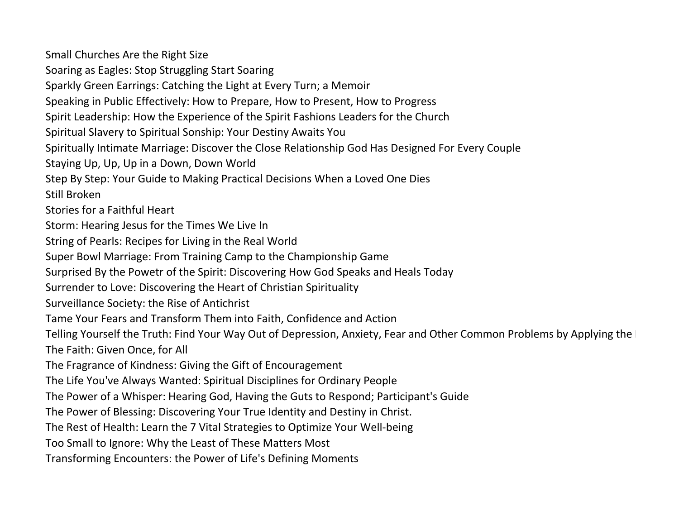Small Churches Are the Right Size Soaring as Eagles: Stop Struggling Start Soaring Sparkly Green Earrings: Catching the Light at Every Turn; a Memoir Speaking in Public Effectively: How to Prepare, How to Present, How to Progress Spirit Leadership: How the Experience of the Spirit Fashions Leaders for the Church Spiritual Slavery to Spiritual Sonship: Your Destiny Awaits You Spiritually Intimate Marriage: Discover the Close Relationship God Has Designed For Every Couple Staying Up, Up, Up in a Down, Down World Step By Step: Your Guide to Making Practical Decisions When a Loved One Dies Still Broken Stories for a Faithful Heart Storm: Hearing Jesus for the Times We Live In String of Pearls: Recipes for Living in the Real World Super Bowl Marriage: From Training Camp to the Championship Game Surprised By the Powetr of the Spirit: Discovering How God Speaks and Heals Today Surrender to Love: Discovering the Heart of Christian Spirituality Surveillance Society: the Rise of Antichrist Tame Your Fears and Transform Them into Faith, Confidence and Action Telling Yourself the Truth: Find Your Way Out of Depression, Anxiety, Fear and Other Common Problems by Applying the The Faith: Given Once, for All The Fragrance of Kindness: Giving the Gift of Encouragement The Life You've Always Wanted: Spiritual Disciplines for Ordinary People The Power of a Whisper: Hearing God, Having the Guts to Respond; Participant's Guide The Power of Blessing: Discovering Your True Identity and Destiny in Christ. The Rest of Health: Learn the 7 Vital Strategies to Optimize Your Well-being Too Small to Ignore: Why the Least of These Matters Most Transforming Encounters: the Power of Life's Defining Moments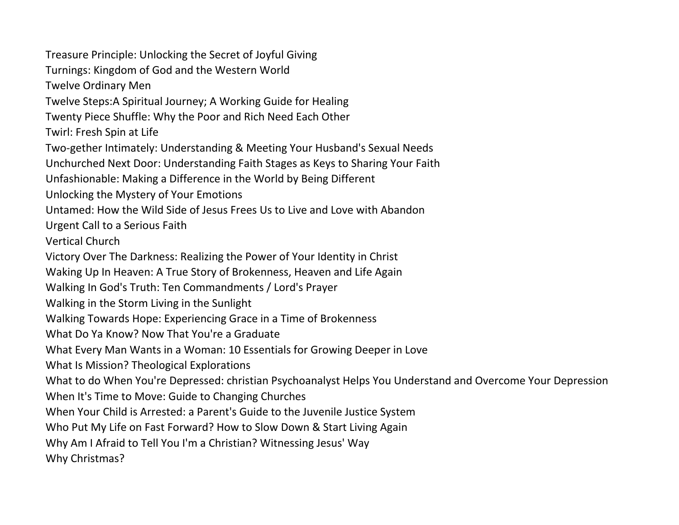Treasure Principle: Unlocking the Secret of Joyful Giving Turnings: Kingdom of God and the Western World Twelve Ordinary Men Twelve Steps:A Spiritual Journey; A Working Guide for Healing Twenty Piece Shuffle: Why the Poor and Rich Need Each Other Twirl: Fresh Spin at Life Two-gether Intimately: Understanding & Meeting Your Husband's Sexual Needs Unchurched Next Door: Understanding Faith Stages as Keys to Sharing Your Faith Unfashionable: Making a Difference in the World by Being Different Unlocking the Mystery of Your Emotions Untamed: How the Wild Side of Jesus Frees Us to Live and Love with Abandon Urgent Call to a Serious Faith Vertical Church Victory Over The Darkness: Realizing the Power of Your Identity in Christ Waking Up In Heaven: A True Story of Brokenness, Heaven and Life Again Walking In God's Truth: Ten Commandments / Lord's Prayer Walking in the Storm Living in the Sunlight Walking Towards Hope: Experiencing Grace in a Time of Brokenness What Do Ya Know? Now That You're a Graduate What Every Man Wants in a Woman: 10 Essentials for Growing Deeper in Love What Is Mission? Theological Explorations What to do When You're Depressed: christian Psychoanalyst Helps You Understand and Overcome Your Depression When It's Time to Move: Guide to Changing Churches When Your Child is Arrested: a Parent's Guide to the Juvenile Justice System Who Put My Life on Fast Forward? How to Slow Down & Start Living Again Why Am I Afraid to Tell You I'm a Christian? Witnessing Jesus' Way Why Christmas?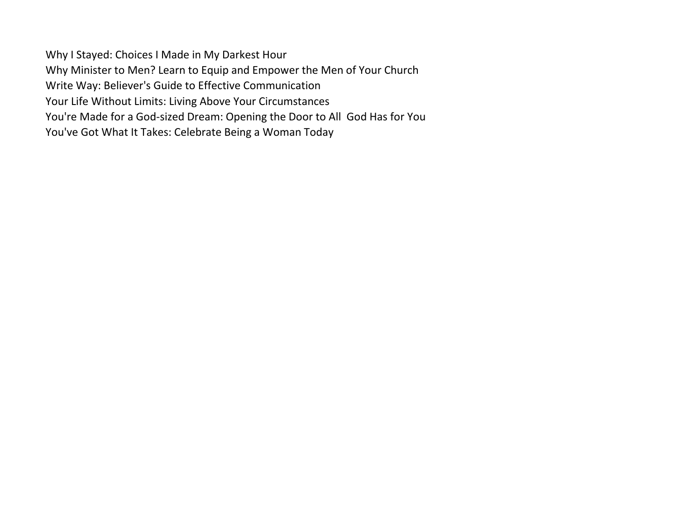Why I Stayed: Choices I Made in My Darkest Hour Why Minister to Men? Learn to Equip and Empower the Men of Your Church Write Way: Believer's Guide to Effective Communication Your Life Without Limits: Living Above Your Circumstances You're Made for a God-sized Dream: Opening the Door to All God Has for You You've Got What It Takes: Celebrate Being a Woman Today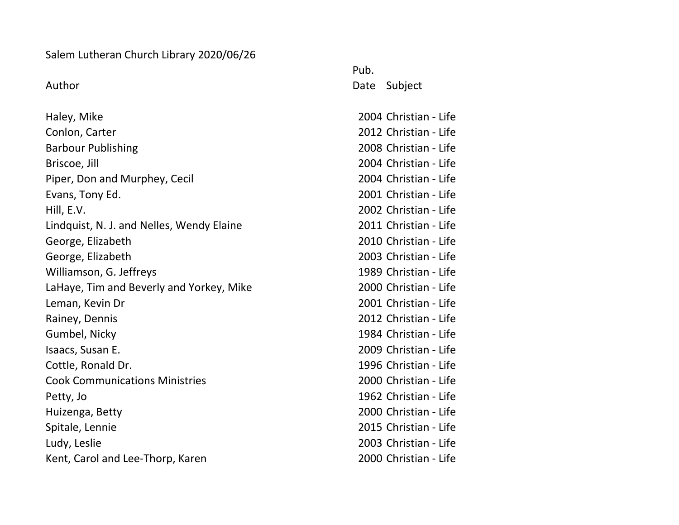## Salem Lutheran Church Library 2020/06/26

Haley, Mike 2004 Christian - Life Conlon, Carter 2012 Christian - Life Barbour Publishing 2008 Christian - Life Briscoe, Jill 2004 Christian - Life Piper, Don and Murphey, Cecil 2004 Christian - Life Evans, Tony Ed. 2001 Christian - Life Hill, E.V. 2002 Christian - Life Lindquist, N. J. and Nelles, Wendy Elaine 2011 Christian - Life George, Elizabeth 2010 Christian - Life George, Elizabeth 2003 Christian - Life Williamson, G. Jeffreys 1989 Christian - Life LaHaye, Tim and Beverly and Yorkey, Mike 2000 Christian - Life Leman, Kevin Dr 2001 Christian - Life Rainey, Dennis 2012 Christian - Life Gumbel, Nicky 1984 Christian - Life Isaacs, Susan E. 2009 [Christian - Life](http://catalog.loc.gov/cgi-bin/Pwebrecon.cgi?SC=Subject&SEQ=20110604132352&PID=GFtCTRw_3ti4GipYeFtCTtmIZm&SA=Christian+life.) Cottle, Ronald Dr. 1996 [Christian - Life](http://catalog.loc.gov/cgi-bin/Pwebrecon.cgi?SC=Subject&SEQ=20110604132352&PID=GFtCTRw_3ti4GipYeFtCTtmIZm&SA=Christian+life.) Cook Communications Ministries 2000 [Christian - Life](http://catalog.loc.gov/cgi-bin/Pwebrecon.cgi?SC=Subject&SEQ=20110604132352&PID=GFtCTRw_3ti4GipYeFtCTtmIZm&SA=Christian+life.) Petty, Jo **1962** [Christian - Life](http://catalog.loc.gov/cgi-bin/Pwebrecon.cgi?SC=Subject&SEQ=20110604132352&PID=GFtCTRw_3ti4GipYeFtCTtmIZm&SA=Christian+life.) Huizenga, Betty 2000 [Christian - Life](http://catalog.loc.gov/cgi-bin/Pwebrecon.cgi?SC=Subject&SEQ=20110604132352&PID=GFtCTRw_3ti4GipYeFtCTtmIZm&SA=Christian+life.) Spitale, Lennie 2015 [Christian - Life](http://catalog.loc.gov/cgi-bin/Pwebrecon.cgi?SC=Subject&SEQ=20110604132352&PID=GFtCTRw_3ti4GipYeFtCTtmIZm&SA=Christian+life.) Ludy, Leslie 2003 [Christian - Life](http://catalog.loc.gov/cgi-bin/Pwebrecon.cgi?SC=Subject&SEQ=20110604132352&PID=GFtCTRw_3ti4GipYeFtCTtmIZm&SA=Christian+life.) Kent, Carol and Lee-Thorp, Karen 2000 [Christian - Life](http://catalog.loc.gov/cgi-bin/Pwebrecon.cgi?SC=Subject&SEQ=20110604132352&PID=GFtCTRw_3ti4GipYeFtCTtmIZm&SA=Christian+life.)

Pub. Author **Date Subject**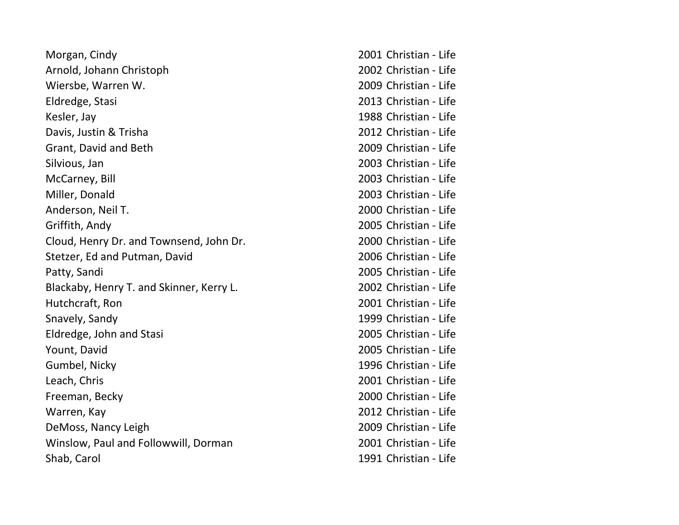| Morgan, Cindy                            | 2001 Christian - Life |
|------------------------------------------|-----------------------|
| Arnold, Johann Christoph                 | 2002 Christian - Life |
| Wiersbe, Warren W.                       | 2009 Christian - Life |
| Eldredge, Stasi                          | 2013 Christian - Life |
| Kesler, Jay                              | 1988 Christian - Life |
| Davis, Justin & Trisha                   | 2012 Christian - Life |
| Grant, David and Beth                    | 2009 Christian - Life |
| Silvious, Jan                            | 2003 Christian - Life |
| McCarney, Bill                           | 2003 Christian - Life |
| Miller, Donald                           | 2003 Christian - Life |
| Anderson, Neil T.                        | 2000 Christian - Life |
| Griffith, Andy                           | 2005 Christian - Life |
| Cloud, Henry Dr. and Townsend, John Dr.  | 2000 Christian - Life |
| Stetzer, Ed and Putman, David            | 2006 Christian - Life |
| Patty, Sandi                             | 2005 Christian - Life |
| Blackaby, Henry T. and Skinner, Kerry L. | 2002 Christian - Life |
| Hutchcraft, Ron                          | 2001 Christian - Life |
| Snavely, Sandy                           | 1999 Christian - Life |
| Eldredge, John and Stasi                 | 2005 Christian - Life |
| Yount, David                             | 2005 Christian - Life |
| Gumbel, Nicky                            | 1996 Christian - Life |
| Leach, Chris                             | 2001 Christian - Life |
| Freeman, Becky                           | 2000 Christian - Life |
| Warren, Kay                              | 2012 Christian - Life |
| DeMoss, Nancy Leigh                      | 2009 Christian - Life |
| Winslow, Paul and Followwill, Dorman     | 2001 Christian - Life |
| Shab, Carol                              | 1991 Christian - Life |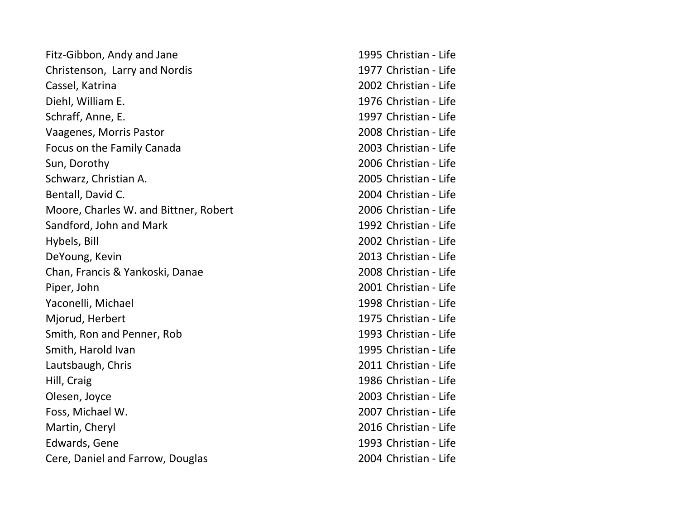| Fitz-Gibbon, Andy and Jane            | 1995 Christian - Life |
|---------------------------------------|-----------------------|
| Christenson, Larry and Nordis         | 1977 Christian - Life |
| Cassel, Katrina                       | 2002 Christian - Life |
| Diehl, William E.                     | 1976 Christian - Life |
| Schraff, Anne, E.                     | 1997 Christian - Life |
| Vaagenes, Morris Pastor               | 2008 Christian - Life |
| Focus on the Family Canada            | 2003 Christian - Life |
| Sun, Dorothy                          | 2006 Christian - Life |
| Schwarz, Christian A.                 | 2005 Christian - Life |
| Bentall, David C.                     | 2004 Christian - Life |
| Moore, Charles W. and Bittner, Robert | 2006 Christian - Life |
| Sandford, John and Mark               | 1992 Christian - Life |
| Hybels, Bill                          | 2002 Christian - Life |
| DeYoung, Kevin                        | 2013 Christian - Life |
| Chan, Francis & Yankoski, Danae       | 2008 Christian - Life |
| Piper, John                           | 2001 Christian - Life |
| Yaconelli, Michael                    | 1998 Christian - Life |
| Mjorud, Herbert                       | 1975 Christian - Life |
| Smith, Ron and Penner, Rob            | 1993 Christian - Life |
| Smith, Harold Ivan                    | 1995 Christian - Life |
| Lautsbaugh, Chris                     | 2011 Christian - Life |
| Hill, Craig                           | 1986 Christian - Life |
| Olesen, Joyce                         | 2003 Christian - Life |
| Foss, Michael W.                      | 2007 Christian - Life |
| Martin, Cheryl                        | 2016 Christian - Life |
| Edwards, Gene                         | 1993 Christian - Life |
| Cere, Daniel and Farrow, Douglas      | 2004 Christian - Life |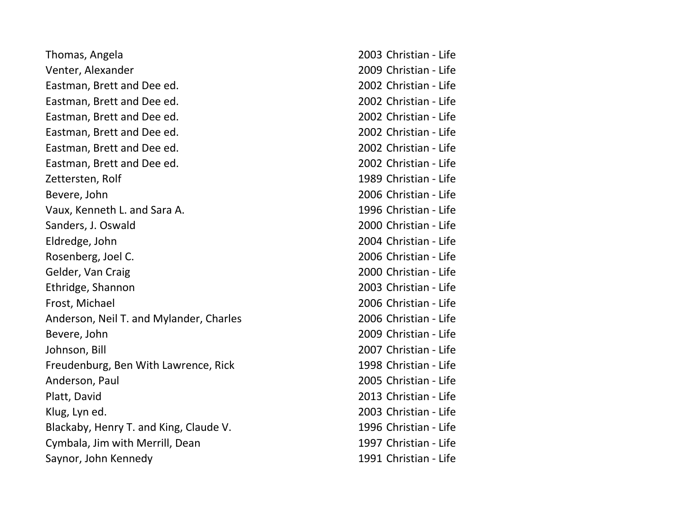| Thomas, Angela                          | 2003 Christian - Life |
|-----------------------------------------|-----------------------|
| Venter, Alexander                       | 2009 Christian - Life |
| Eastman, Brett and Dee ed.              | 2002 Christian - Life |
| Eastman, Brett and Dee ed.              | 2002 Christian - Life |
| Eastman, Brett and Dee ed.              | 2002 Christian - Life |
| Eastman, Brett and Dee ed.              | 2002 Christian - Life |
| Eastman, Brett and Dee ed.              | 2002 Christian - Life |
| Eastman, Brett and Dee ed.              | 2002 Christian - Life |
| Zettersten, Rolf                        | 1989 Christian - Life |
| Bevere, John                            | 2006 Christian - Life |
| Vaux, Kenneth L. and Sara A.            | 1996 Christian - Life |
| Sanders, J. Oswald                      | 2000 Christian - Life |
| Eldredge, John                          | 2004 Christian - Life |
| Rosenberg, Joel C.                      | 2006 Christian - Life |
| Gelder, Van Craig                       | 2000 Christian - Life |
| Ethridge, Shannon                       | 2003 Christian - Life |
| Frost, Michael                          | 2006 Christian - Life |
| Anderson, Neil T. and Mylander, Charles | 2006 Christian - Life |
| Bevere, John                            | 2009 Christian - Life |
| Johnson, Bill                           | 2007 Christian - Life |
| Freudenburg, Ben With Lawrence, Rick    | 1998 Christian - Life |
| Anderson, Paul                          | 2005 Christian - Life |
| Platt, David                            | 2013 Christian - Life |
| Klug, Lyn ed.                           | 2003 Christian - Life |
| Blackaby, Henry T. and King, Claude V.  | 1996 Christian - Life |
| Cymbala, Jim with Merrill, Dean         | 1997 Christian - Life |
| Saynor, John Kennedy                    | 1991 Christian - Life |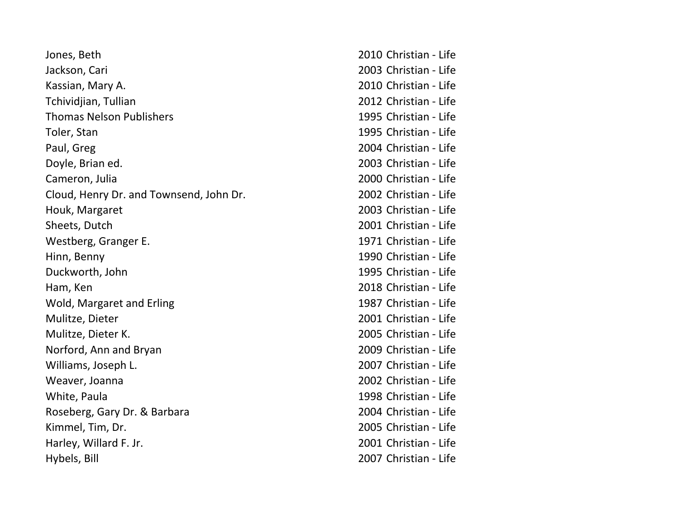| Jones, Beth                             | 2010 Christian - Life |
|-----------------------------------------|-----------------------|
| Jackson, Cari                           | 2003 Christian - Life |
| Kassian, Mary A.                        | 2010 Christian - Life |
| Tchividjian, Tullian                    | 2012 Christian - Life |
| <b>Thomas Nelson Publishers</b>         | 1995 Christian - Life |
| Toler, Stan                             | 1995 Christian - Life |
| Paul, Greg                              | 2004 Christian - Life |
| Doyle, Brian ed.                        | 2003 Christian - Life |
| Cameron, Julia                          | 2000 Christian - Life |
| Cloud, Henry Dr. and Townsend, John Dr. | 2002 Christian - Life |
| Houk, Margaret                          | 2003 Christian - Life |
| Sheets, Dutch                           | 2001 Christian - Life |
| Westberg, Granger E.                    | 1971 Christian - Life |
| Hinn, Benny                             | 1990 Christian - Life |
| Duckworth, John                         | 1995 Christian - Life |
| Ham, Ken                                | 2018 Christian - Life |
| Wold, Margaret and Erling               | 1987 Christian - Life |
| Mulitze, Dieter                         | 2001 Christian - Life |
| Mulitze, Dieter K.                      | 2005 Christian - Life |
| Norford, Ann and Bryan                  | 2009 Christian - Life |
| Williams, Joseph L.                     | 2007 Christian - Life |
| Weaver, Joanna                          | 2002 Christian - Life |
| White, Paula                            | 1998 Christian - Life |
| Roseberg, Gary Dr. & Barbara            | 2004 Christian - Life |
| Kimmel, Tim, Dr.                        | 2005 Christian - Life |
| Harley, Willard F. Jr.                  | 2001 Christian - Life |
| Hybels, Bill                            | 2007 Christian - Life |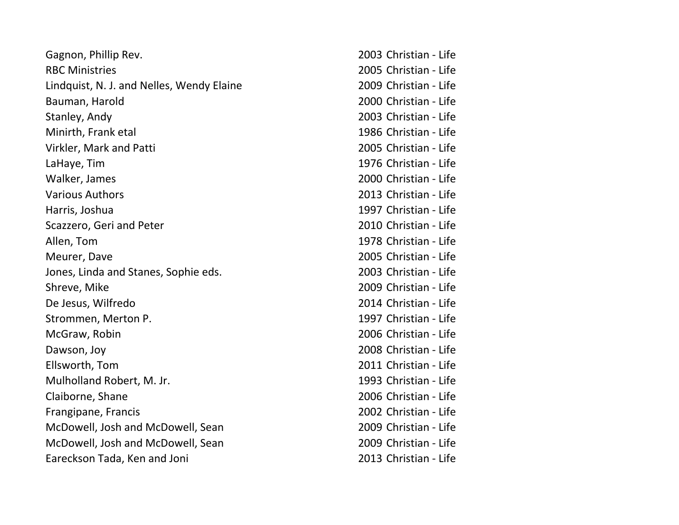| Gagnon, Phillip Rev.                      | 2003 Christian - Life |
|-------------------------------------------|-----------------------|
| <b>RBC Ministries</b>                     | 2005 Christian - Life |
| Lindquist, N. J. and Nelles, Wendy Elaine | 2009 Christian - Life |
| Bauman, Harold                            | 2000 Christian - Life |
| Stanley, Andy                             | 2003 Christian - Life |
| Minirth, Frank etal                       | 1986 Christian - Life |
| Virkler, Mark and Patti                   | 2005 Christian - Life |
| LaHaye, Tim                               | 1976 Christian - Life |
| Walker, James                             | 2000 Christian - Life |
| <b>Various Authors</b>                    | 2013 Christian - Life |
| Harris, Joshua                            | 1997 Christian - Life |
| Scazzero, Geri and Peter                  | 2010 Christian - Life |
| Allen, Tom                                | 1978 Christian - Life |
| Meurer, Dave                              | 2005 Christian - Life |
| Jones, Linda and Stanes, Sophie eds.      | 2003 Christian - Life |
| Shreve, Mike                              | 2009 Christian - Life |
| De Jesus, Wilfredo                        | 2014 Christian - Life |
| Strommen, Merton P.                       | 1997 Christian - Life |
| McGraw, Robin                             | 2006 Christian - Life |
| Dawson, Joy                               | 2008 Christian - Life |
| Ellsworth, Tom                            | 2011 Christian - Life |
| Mulholland Robert, M. Jr.                 | 1993 Christian - Life |
| Claiborne, Shane                          | 2006 Christian - Life |
| Frangipane, Francis                       | 2002 Christian - Life |
| McDowell, Josh and McDowell, Sean         | 2009 Christian - Life |
| McDowell, Josh and McDowell, Sean         | 2009 Christian - Life |
| Eareckson Tada, Ken and Joni              | 2013 Christian - Life |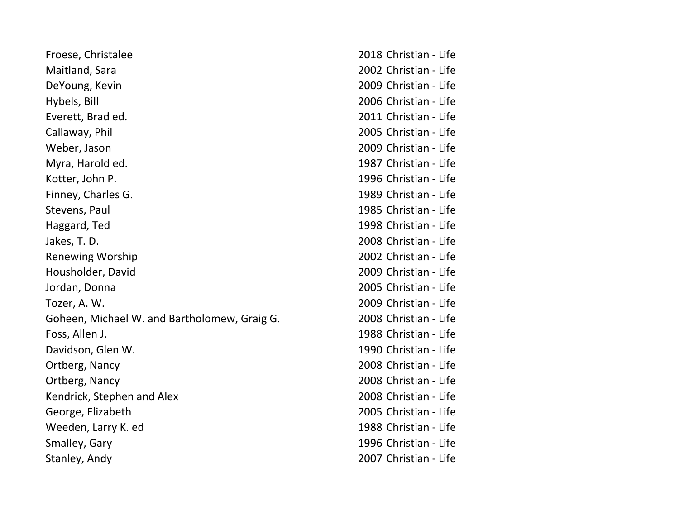| Froese, Christalee                           | 2018 Christian - Life |
|----------------------------------------------|-----------------------|
| Maitland, Sara                               | 2002 Christian - Life |
| DeYoung, Kevin                               | 2009 Christian - Life |
| Hybels, Bill                                 | 2006 Christian - Life |
| Everett, Brad ed.                            | 2011 Christian - Life |
| Callaway, Phil                               | 2005 Christian - Life |
| Weber, Jason                                 | 2009 Christian - Life |
| Myra, Harold ed.                             | 1987 Christian - Life |
| Kotter, John P.                              | 1996 Christian - Life |
| Finney, Charles G.                           | 1989 Christian - Life |
| Stevens, Paul                                | 1985 Christian - Life |
| Haggard, Ted                                 | 1998 Christian - Life |
| Jakes, T. D.                                 | 2008 Christian - Life |
| <b>Renewing Worship</b>                      | 2002 Christian - Life |
| Housholder, David                            | 2009 Christian - Life |
| Jordan, Donna                                | 2005 Christian - Life |
| Tozer, A. W.                                 | 2009 Christian - Life |
| Goheen, Michael W. and Bartholomew, Graig G. | 2008 Christian - Life |
| Foss, Allen J.                               | 1988 Christian - Life |
| Davidson, Glen W.                            | 1990 Christian - Life |
| Ortberg, Nancy                               | 2008 Christian - Life |
| Ortberg, Nancy                               | 2008 Christian - Life |
| Kendrick, Stephen and Alex                   | 2008 Christian - Life |
| George, Elizabeth                            | 2005 Christian - Life |
| Weeden, Larry K. ed                          | 1988 Christian - Life |
| Smalley, Gary                                | 1996 Christian - Life |
| Stanley, Andy                                | 2007 Christian - Life |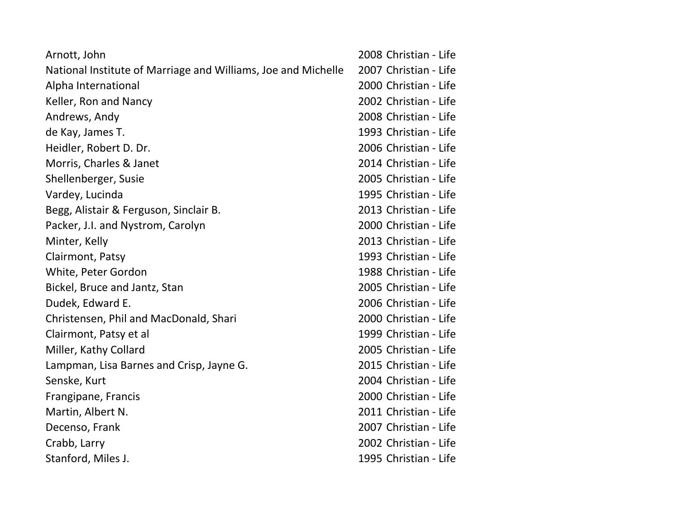| Arnott, John                                                  | 2008 Christian - Life |
|---------------------------------------------------------------|-----------------------|
| National Institute of Marriage and Williams, Joe and Michelle | 2007 Christian - Life |
| Alpha International                                           | 2000 Christian - Life |
| Keller, Ron and Nancy                                         | 2002 Christian - Life |
| Andrews, Andy                                                 | 2008 Christian - Life |
| de Kay, James T.                                              | 1993 Christian - Life |
| Heidler, Robert D. Dr.                                        | 2006 Christian - Life |
| Morris, Charles & Janet                                       | 2014 Christian - Life |
| Shellenberger, Susie                                          | 2005 Christian - Life |
| Vardey, Lucinda                                               | 1995 Christian - Life |
| Begg, Alistair & Ferguson, Sinclair B.                        | 2013 Christian - Life |
| Packer, J.I. and Nystrom, Carolyn                             | 2000 Christian - Life |
| Minter, Kelly                                                 | 2013 Christian - Life |
| Clairmont, Patsy                                              | 1993 Christian - Life |
| White, Peter Gordon                                           | 1988 Christian - Life |
| Bickel, Bruce and Jantz, Stan                                 | 2005 Christian - Life |
| Dudek, Edward E.                                              | 2006 Christian - Life |
| Christensen, Phil and MacDonald, Shari                        | 2000 Christian - Life |
| Clairmont, Patsy et al                                        | 1999 Christian - Life |
| Miller, Kathy Collard                                         | 2005 Christian - Life |
| Lampman, Lisa Barnes and Crisp, Jayne G.                      | 2015 Christian - Life |
| Senske, Kurt                                                  | 2004 Christian - Life |
| Frangipane, Francis                                           | 2000 Christian - Life |
| Martin, Albert N.                                             | 2011 Christian - Life |
| Decenso, Frank                                                | 2007 Christian - Life |
| Crabb, Larry                                                  | 2002 Christian - Life |
| Stanford, Miles J.                                            | 1995 Christian - Life |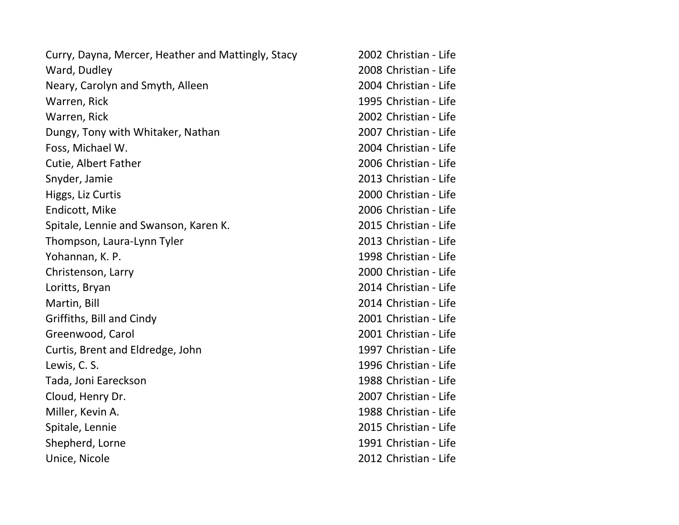| Curry, Dayna, Mercer, Heather and Mattingly, Stacy | 2002 Christian - Life |
|----------------------------------------------------|-----------------------|
| Ward, Dudley                                       | 2008 Christian - Life |
| Neary, Carolyn and Smyth, Alleen                   | 2004 Christian - Life |
| Warren, Rick                                       | 1995 Christian - Life |
| Warren, Rick                                       | 2002 Christian - Life |
| Dungy, Tony with Whitaker, Nathan                  | 2007 Christian - Life |
| Foss, Michael W.                                   | 2004 Christian - Life |
| Cutie, Albert Father                               | 2006 Christian - Life |
| Snyder, Jamie                                      | 2013 Christian - Life |
| Higgs, Liz Curtis                                  | 2000 Christian - Life |
| Endicott, Mike                                     | 2006 Christian - Life |
| Spitale, Lennie and Swanson, Karen K.              | 2015 Christian - Life |
| Thompson, Laura-Lynn Tyler                         | 2013 Christian - Life |
| Yohannan, K. P.                                    | 1998 Christian - Life |
| Christenson, Larry                                 | 2000 Christian - Life |
| Loritts, Bryan                                     | 2014 Christian - Life |
| Martin, Bill                                       | 2014 Christian - Life |
| Griffiths, Bill and Cindy                          | 2001 Christian - Life |
| Greenwood, Carol                                   | 2001 Christian - Life |
| Curtis, Brent and Eldredge, John                   | 1997 Christian - Life |
| Lewis, C. S.                                       | 1996 Christian - Life |
| Tada, Joni Eareckson                               | 1988 Christian - Life |
| Cloud, Henry Dr.                                   | 2007 Christian - Life |
| Miller, Kevin A.                                   | 1988 Christian - Life |
| Spitale, Lennie                                    | 2015 Christian - Life |
| Shepherd, Lorne                                    | 1991 Christian - Life |
| Unice, Nicole                                      | 2012 Christian - Life |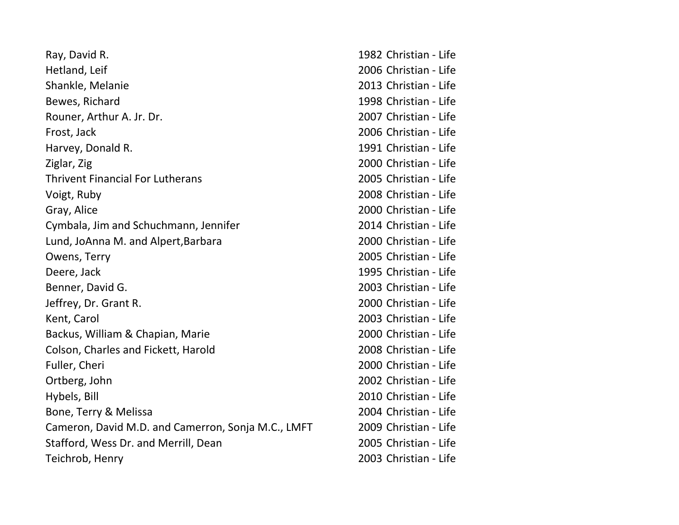| Ray, David R.                                      | 1982 Christian - Life |
|----------------------------------------------------|-----------------------|
| Hetland, Leif                                      | 2006 Christian - Life |
| Shankle, Melanie                                   | 2013 Christian - Life |
| Bewes, Richard                                     | 1998 Christian - Life |
| Rouner, Arthur A. Jr. Dr.                          | 2007 Christian - Life |
| Frost, Jack                                        | 2006 Christian - Life |
| Harvey, Donald R.                                  | 1991 Christian - Life |
| Ziglar, Zig                                        | 2000 Christian - Life |
| <b>Thrivent Financial For Lutherans</b>            | 2005 Christian - Life |
| Voigt, Ruby                                        | 2008 Christian - Life |
| Gray, Alice                                        | 2000 Christian - Life |
| Cymbala, Jim and Schuchmann, Jennifer              | 2014 Christian - Life |
| Lund, JoAnna M. and Alpert, Barbara                | 2000 Christian - Life |
| Owens, Terry                                       | 2005 Christian - Life |
| Deere, Jack                                        | 1995 Christian - Life |
| Benner, David G.                                   | 2003 Christian - Life |
| Jeffrey, Dr. Grant R.                              | 2000 Christian - Life |
| Kent, Carol                                        | 2003 Christian - Life |
| Backus, William & Chapian, Marie                   | 2000 Christian - Life |
| Colson, Charles and Fickett, Harold                | 2008 Christian - Life |
| Fuller, Cheri                                      | 2000 Christian - Life |
| Ortberg, John                                      | 2002 Christian - Life |
| Hybels, Bill                                       | 2010 Christian - Life |
| Bone, Terry & Melissa                              | 2004 Christian - Life |
| Cameron, David M.D. and Camerron, Sonja M.C., LMFT | 2009 Christian - Life |
| Stafford, Wess Dr. and Merrill, Dean               | 2005 Christian - Life |
| Teichrob, Henry                                    | 2003 Christian - Life |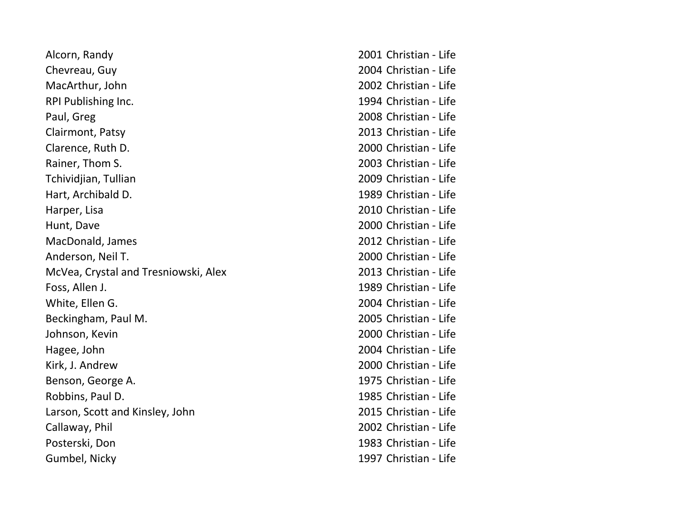| Alcorn, Randy                        | 2001 Christian - Life |
|--------------------------------------|-----------------------|
| Chevreau, Guy                        | 2004 Christian - Life |
| MacArthur, John                      | 2002 Christian - Life |
| RPI Publishing Inc.                  | 1994 Christian - Life |
| Paul, Greg                           | 2008 Christian - Life |
| Clairmont, Patsy                     | 2013 Christian - Life |
| Clarence, Ruth D.                    | 2000 Christian - Life |
| Rainer, Thom S.                      | 2003 Christian - Life |
| Tchividjian, Tullian                 | 2009 Christian - Life |
| Hart, Archibald D.                   | 1989 Christian - Life |
| Harper, Lisa                         | 2010 Christian - Life |
| Hunt, Dave                           | 2000 Christian - Life |
| MacDonald, James                     | 2012 Christian - Life |
| Anderson, Neil T.                    | 2000 Christian - Life |
| McVea, Crystal and Tresniowski, Alex | 2013 Christian - Life |
| Foss, Allen J.                       | 1989 Christian - Life |
| White, Ellen G.                      | 2004 Christian - Life |
| Beckingham, Paul M.                  | 2005 Christian - Life |
| Johnson, Kevin                       | 2000 Christian - Life |
| Hagee, John                          | 2004 Christian - Life |
| Kirk, J. Andrew                      | 2000 Christian - Life |
| Benson, George A.                    | 1975 Christian - Life |
| Robbins, Paul D.                     | 1985 Christian - Life |
| Larson, Scott and Kinsley, John      | 2015 Christian - Life |
| Callaway, Phil                       | 2002 Christian - Life |
| Posterski, Don                       | 1983 Christian - Life |
| Gumbel, Nicky                        | 1997 Christian - Life |